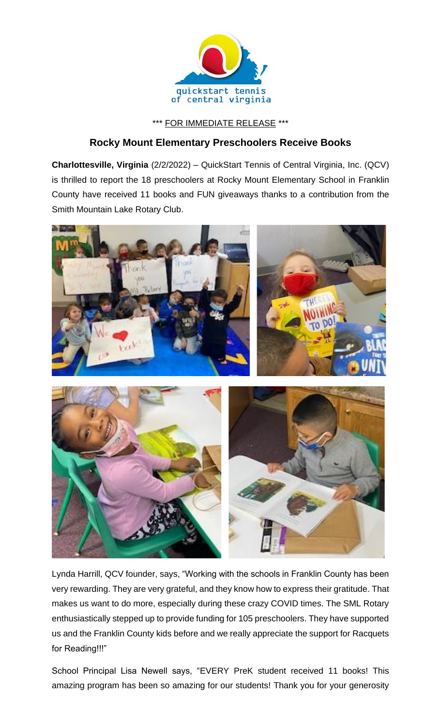

\*\*\* FOR IMMEDIATE RELEASE \*\*\*

## **Rocky Mount Elementary Preschoolers Receive Books**

**Charlottesville, Virginia** (2/2/2022) – QuickStart Tennis of Central Virginia, Inc. (QCV) is thrilled to report the 18 preschoolers at Rocky Mount Elementary School in Franklin County have received 11 books and FUN giveaways thanks to a contribution from the Smith Mountain Lake Rotary Club.



Lynda Harrill, QCV founder, says, "Working with the schools in Franklin County has been very rewarding. They are very grateful, and they know how to express their gratitude. That makes us want to do more, especially during these crazy COVID times. The SML Rotary enthusiastically stepped up to provide funding for 105 preschoolers. They have supported us and the Franklin County kids before and we really appreciate the support for Racquets for Reading!!!"

School Principal Lisa Newell says, "EVERY PreK student received 11 books! This amazing program has been so amazing for our students! Thank you for your generosity